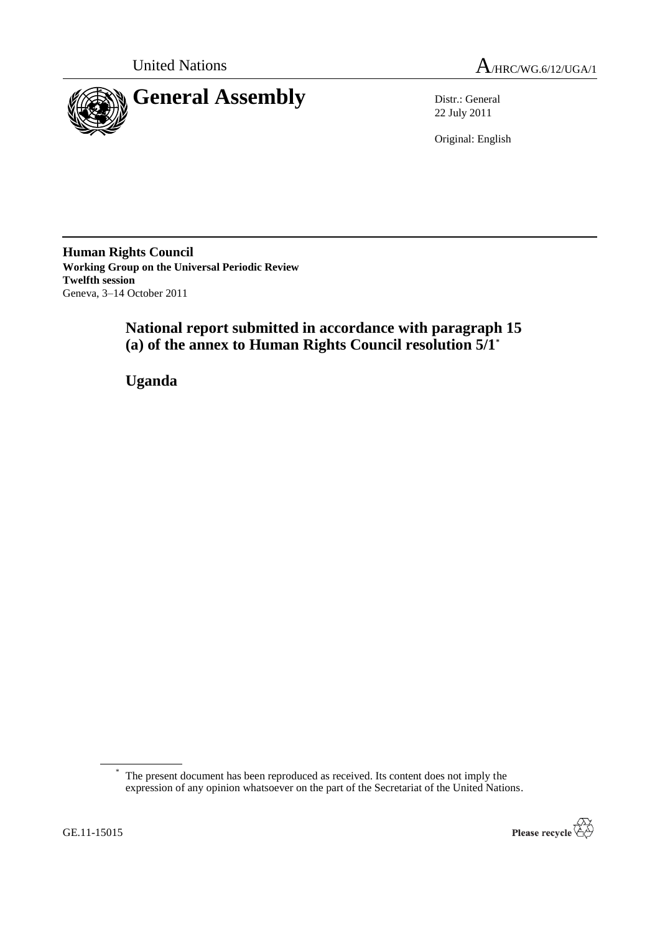



22 July 2011

Original: English

**Human Rights Council Working Group on the Universal Periodic Review Twelfth session** Geneva, 3–14 October 2011

> **National report submitted in accordance with paragraph 15 (a) of the annex to Human Rights Council resolution 5/1\***

**Uganda**

<sup>\*</sup> The present document has been reproduced as received. Its content does not imply the expression of any opinion whatsoever on the part of the Secretariat of the United Nations.

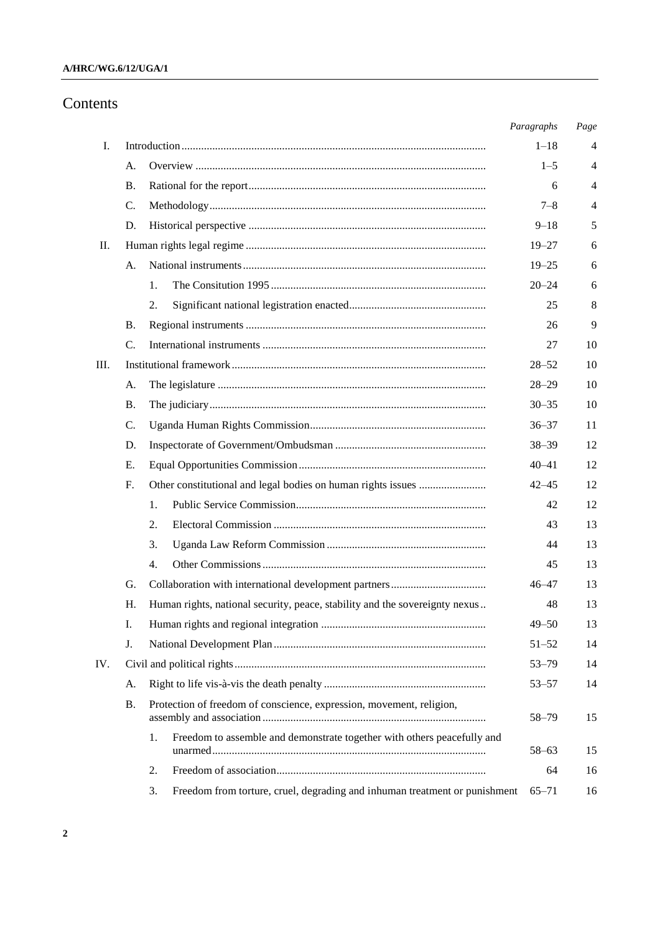# Contents

|      |                 |                                                                                  | Paragraphs | Page           |
|------|-----------------|----------------------------------------------------------------------------------|------------|----------------|
| I.   |                 |                                                                                  |            |                |
|      | A.              |                                                                                  | $1 - 5$    | 4              |
|      | <b>B.</b>       |                                                                                  | 6          | 4              |
|      | C.              |                                                                                  | $7 - 8$    | $\overline{4}$ |
|      | D.              |                                                                                  | $9 - 18$   | 5              |
| П.   |                 |                                                                                  |            | 6              |
|      | А.              |                                                                                  | $19 - 25$  | 6              |
|      |                 | 1.                                                                               | $20 - 24$  | 6              |
|      |                 | 2.                                                                               | 25         | 8              |
|      | <b>B.</b>       |                                                                                  | 26         | 9              |
|      | $\mathcal{C}$ . |                                                                                  | 27         | 10             |
| III. |                 |                                                                                  |            |                |
|      | A.              |                                                                                  | $28 - 29$  | 10             |
|      | <b>B.</b>       |                                                                                  | $30 - 35$  | 10             |
|      | C.              |                                                                                  | $36 - 37$  | 11             |
|      | D.              |                                                                                  | $38 - 39$  | 12             |
|      | Ε.              |                                                                                  |            | 12             |
|      | F.              |                                                                                  | $42 - 45$  | 12             |
|      |                 | 1.                                                                               | 42         | 12             |
|      |                 | 2.                                                                               | 43         | 13             |
|      |                 | 3.                                                                               | 44         | 13             |
|      |                 | 4.                                                                               | 45         | 13             |
|      | G.              |                                                                                  | $46 - 47$  | 13             |
|      | Η.              | Human rights, national security, peace, stability and the sovereignty nexus      | 48         | 13             |
|      | I.              |                                                                                  | $49 - 50$  | 13             |
|      | J.              |                                                                                  | $51 - 52$  | 14             |
| IV.  |                 |                                                                                  |            |                |
|      | A.              |                                                                                  | $53 - 57$  | 14             |
|      | <b>B.</b>       | Protection of freedom of conscience, expression, movement, religion,             | 58-79      | 15             |
|      |                 | Freedom to assemble and demonstrate together with others peacefully and<br>1.    | $58 - 63$  | 15             |
|      |                 | 2.                                                                               | 64         | 16             |
|      |                 | Freedom from torture, cruel, degrading and inhuman treatment or punishment<br>3. | $65 - 71$  | 16             |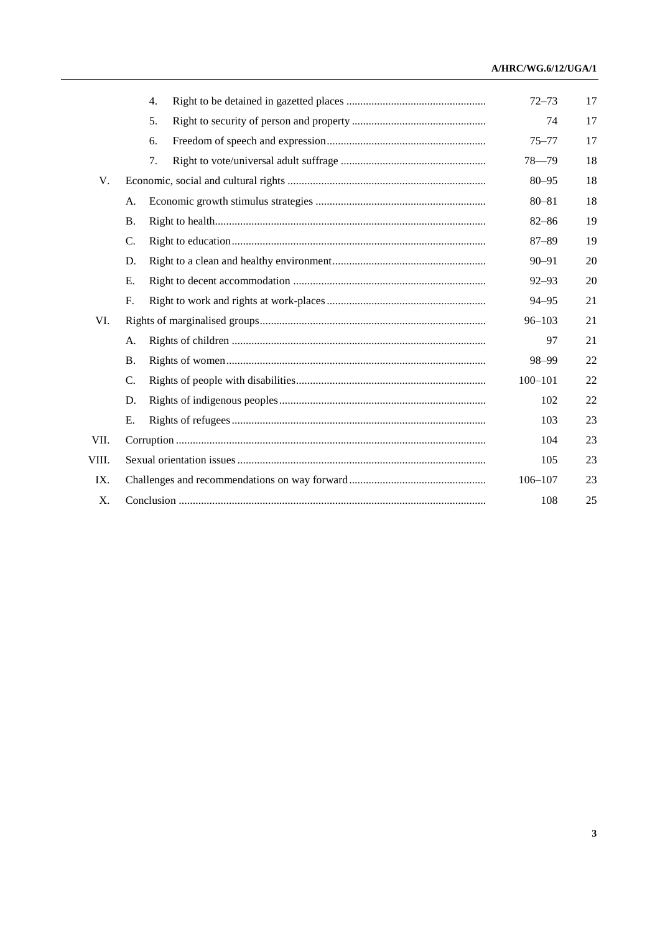### A/HRC/WG.6/12/UGA/1

|       |             | 4.  |            | $72 - 73$   | 17 |  |
|-------|-------------|-----|------------|-------------|----|--|
|       |             | 5.  |            | 74          | 17 |  |
|       |             | 6.  |            | $75 - 77$   | 17 |  |
|       |             | 7.  |            | $78 - 79$   | 18 |  |
| V.    |             |     |            | $80 - 95$   | 18 |  |
|       | А.          |     |            |             | 18 |  |
|       | <b>B.</b>   |     |            | $82 - 86$   | 19 |  |
|       | C.          |     |            | $87 - 89$   | 19 |  |
|       | D.          |     |            | $90 - 91$   | 20 |  |
|       | Е.          |     |            | $92 - 93$   | 20 |  |
|       | F.          |     |            | $94 - 95$   | 21 |  |
| VI.   |             |     | $96 - 103$ | 21          |    |  |
|       | А.          |     |            | 97          | 21 |  |
|       | <b>B.</b>   |     |            | 98-99       | 22 |  |
|       | C.          |     |            | $100 - 101$ | 22 |  |
|       | D.          |     |            | 102         | 22 |  |
|       | Е.          |     |            | 103         | 23 |  |
| VII.  |             |     |            |             | 23 |  |
| VIII. |             | 105 | 23         |             |    |  |
| IX.   | $106 - 107$ |     |            |             |    |  |
| X.    | 108         |     |            |             |    |  |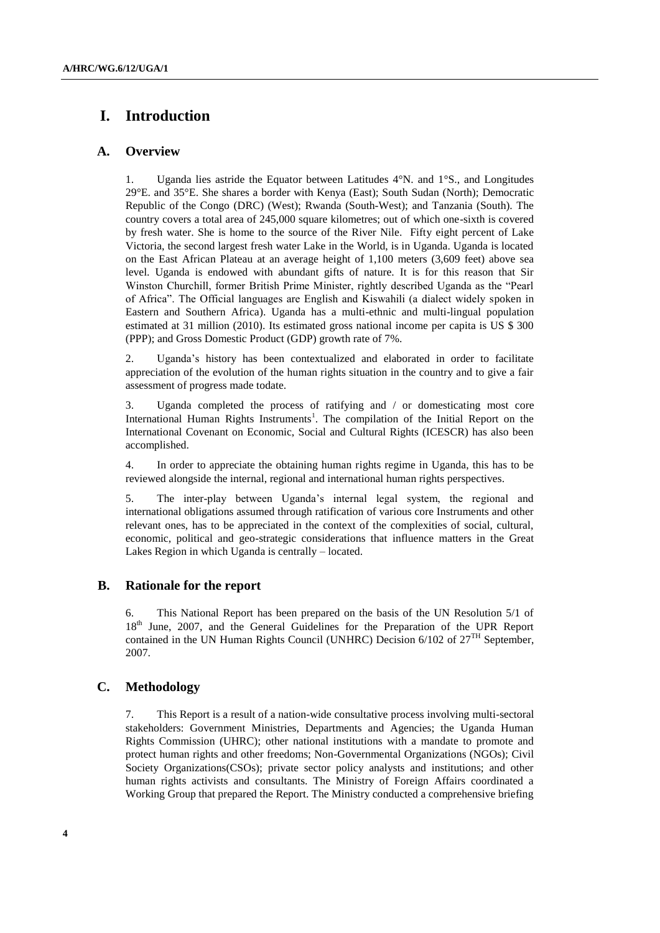# **I. Introduction**

## **A. Overview**

1. Uganda lies astride the Equator between Latitudes [4°N.](http://en.wikipedia.org/wiki/4th_parallel_north) and [1°S.](http://en.wikipedia.org/wiki/2nd_parallel_south), and Longitudes [29°E](http://en.wikipedia.org/wiki/29th_meridian_east). and [35°E.](http://en.wikipedia.org/wiki/35th_meridian_east) She shares a border with [Kenya](http://en.wikipedia.org/wiki/Kenya) (East); South [Sudan](http://en.wikipedia.org/wiki/Sudan) (North); [Democratic](http://en.wikipedia.org/wiki/Democratic_Republic_of_the_Congo)  [Republic of the Congo](http://en.wikipedia.org/wiki/Democratic_Republic_of_the_Congo) (DRC) (West); [Rwanda](http://en.wikipedia.org/wiki/Rwanda) (South-West); and Tanzania (South). The country covers a total area of 245,000 square kilometres; out of which one-sixth is covered by fresh water. She is home to the source of the River Nile. Fifty eight percent of Lake Victoria, the second largest fresh water Lake in the World, is in Uganda. Uganda is located on the East African [Plateau](http://en.wikipedia.org/wiki/Plateau) at an average height of 1,100 meters (3,609 feet) above sea level. Uganda is endowed with abundant gifts of nature. It is for this reason that Sir Winston Churchill, former British Prime Minister, rightly described Uganda as the "Pearl of Africa". The Official languages are English and Kiswahili (a dialect widely spoken in Eastern and Southern Africa). Uganda has a multi-ethnic and multi-lingual population estimated at 31 million (2010). Its estimated gross national income per capita is US \$ 300 (PPP); and Gross Domestic Product (GDP) growth rate of 7%.

2. Uganda"s history has been contextualized and elaborated in order to facilitate appreciation of the evolution of the human rights situation in the country and to give a fair assessment of progress made todate.

3. Uganda completed the process of ratifying and / or domesticating most core International Human Rights Instruments<sup>1</sup>. The compilation of the Initial Report on the International Covenant on Economic, Social and Cultural Rights (ICESCR) has also been accomplished.

4. In order to appreciate the obtaining human rights regime in Uganda, this has to be reviewed alongside the internal, regional and international human rights perspectives.

5. The inter-play between Uganda"s internal legal system, the regional and international obligations assumed through ratification of various core Instruments and other relevant ones, has to be appreciated in the context of the complexities of social, cultural, economic, political and geo-strategic considerations that influence matters in the Great Lakes Region in which Uganda is centrally – located.

## **B. Rationale for the report**

6. This National Report has been prepared on the basis of the UN Resolution 5/1 of 18<sup>th</sup> June, 2007, and the General Guidelines for the Preparation of the UPR Report contained in the UN Human Rights Council (UNHRC) Decision 6/102 of  $27<sup>TH</sup>$  September, 2007.

## **C. Methodology**

7. This Report is a result of a nation-wide consultative process involving multi-sectoral stakeholders: Government Ministries, Departments and Agencies; the Uganda Human Rights Commission (UHRC); other national institutions with a mandate to promote and protect human rights and other freedoms; Non-Governmental Organizations (NGOs); Civil Society Organizations(CSOs); private sector policy analysts and institutions; and other human rights activists and consultants. The Ministry of Foreign Affairs coordinated a Working Group that prepared the Report. The Ministry conducted a comprehensive briefing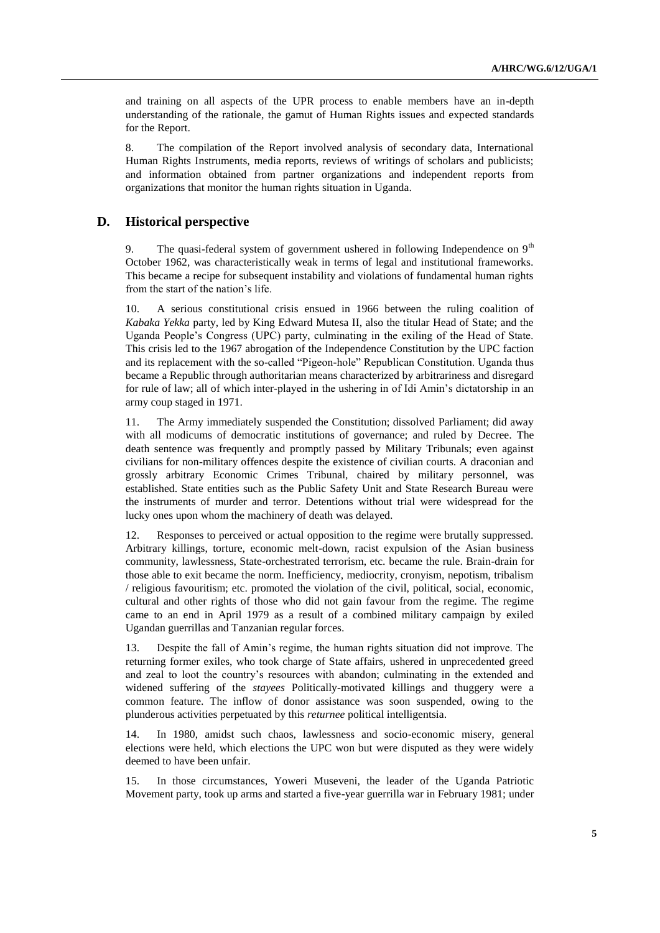and training on all aspects of the UPR process to enable members have an in-depth understanding of the rationale, the gamut of Human Rights issues and expected standards for the Report.

8. The compilation of the Report involved analysis of secondary data, International Human Rights Instruments, media reports, reviews of writings of scholars and publicists; and information obtained from partner organizations and independent reports from organizations that monitor the human rights situation in Uganda.

## **D. Historical perspective**

9. The quasi-federal system of government ushered in following Independence on  $9<sup>th</sup>$ October 1962, was characteristically weak in terms of legal and institutional frameworks. This became a recipe for subsequent instability and violations of fundamental human rights from the start of the nation"s life.

10. A serious constitutional crisis ensued in 1966 between the ruling coalition of *Kabaka Yekka* party, led by King Edward Mutesa II, also the titular Head of State; and the Uganda People"s Congress (UPC) party, culminating in the exiling of the Head of State. This crisis led to the 1967 abrogation of the Independence Constitution by the UPC faction and its replacement with the so-called "Pigeon-hole" Republican Constitution. Uganda thus became a Republic through authoritarian means characterized by arbitrariness and disregard for rule of law; all of which inter-played in the ushering in of Idi Amin"s dictatorship in an army coup staged in 1971.

11. The Army immediately suspended the Constitution; dissolved Parliament; did away with all modicums of democratic institutions of governance; and ruled by Decree. The death sentence was frequently and promptly passed by Military Tribunals; even against civilians for non-military offences despite the existence of civilian courts. A draconian and grossly arbitrary Economic Crimes Tribunal, chaired by military personnel, was established. State entities such as the Public Safety Unit and State Research Bureau were the instruments of murder and terror. Detentions without trial were widespread for the lucky ones upon whom the machinery of death was delayed.

12. Responses to perceived or actual opposition to the regime were brutally suppressed. Arbitrary killings, torture, economic melt-down, racist expulsion of the Asian business community, lawlessness, State-orchestrated terrorism, etc. became the rule. Brain-drain for those able to exit became the norm. Inefficiency, mediocrity, cronyism, nepotism, tribalism / religious favouritism; etc. promoted the violation of the civil, political, social, economic, cultural and other rights of those who did not gain favour from the regime. The regime came to an end in April 1979 as a result of a combined military campaign by exiled Ugandan guerrillas and Tanzanian regular forces.

13. Despite the fall of Amin"s regime, the human rights situation did not improve. The returning former exiles, who took charge of State affairs, ushered in unprecedented greed and zeal to loot the country"s resources with abandon; culminating in the extended and widened suffering of the *stayees* Politically-motivated killings and thuggery were a common feature. The inflow of donor assistance was soon suspended, owing to the plunderous activities perpetuated by this *returnee* political intelligentsia.

14. In 1980, amidst such chaos, lawlessness and socio-economic misery, general elections were held, which elections the UPC won but were disputed as they were widely deemed to have been unfair.

15. In those circumstances, Yoweri Museveni, the leader of the Uganda Patriotic Movement party, took up arms and started a five-year guerrilla war in February 1981; under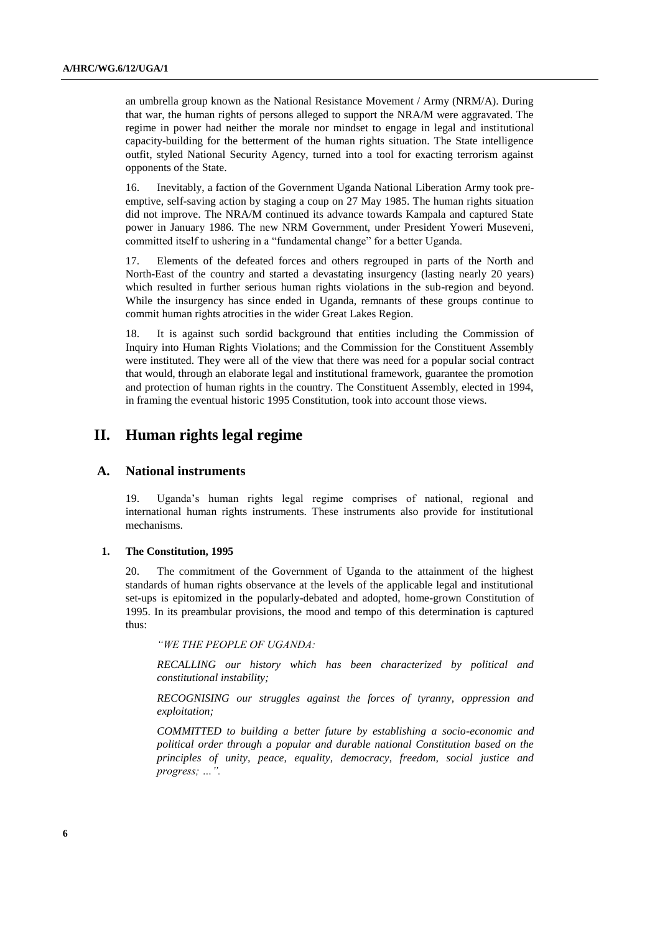an umbrella group known as the National Resistance Movement / Army (NRM/A). During that war, the human rights of persons alleged to support the NRA/M were aggravated. The regime in power had neither the morale nor mindset to engage in legal and institutional capacity-building for the betterment of the human rights situation. The State intelligence outfit, styled National Security Agency, turned into a tool for exacting terrorism against opponents of the State.

16. Inevitably, a faction of the Government Uganda National Liberation Army took preemptive, self-saving action by staging a coup on 27 May 1985. The human rights situation did not improve. The NRA/M continued its advance towards Kampala and captured State power in January 1986. The new NRM Government, under President Yoweri Museveni, committed itself to ushering in a "fundamental change" for a better Uganda.

17. Elements of the defeated forces and others regrouped in parts of the North and North-East of the country and started a devastating insurgency (lasting nearly 20 years) which resulted in further serious human rights violations in the sub-region and beyond. While the insurgency has since ended in Uganda, remnants of these groups continue to commit human rights atrocities in the wider Great Lakes Region.

18. It is against such sordid background that entities including the Commission of Inquiry into Human Rights Violations; and the Commission for the Constituent Assembly were instituted. They were all of the view that there was need for a popular social contract that would, through an elaborate legal and institutional framework, guarantee the promotion and protection of human rights in the country. The Constituent Assembly, elected in 1994, in framing the eventual historic 1995 Constitution, took into account those views.

## **II. Human rights legal regime**

### **A. National instruments**

19. Uganda"s human rights legal regime comprises of national, regional and international human rights instruments. These instruments also provide for institutional mechanisms.

#### **1. The Constitution, 1995**

20. The commitment of the Government of Uganda to the attainment of the highest standards of human rights observance at the levels of the applicable legal and institutional set-ups is epitomized in the popularly-debated and adopted, home-grown Constitution of 1995. In its preambular provisions, the mood and tempo of this determination is captured thus:

*"WE THE PEOPLE OF UGANDA:*

*RECALLING our history which has been characterized by political and constitutional instability;*

*RECOGNISING our struggles against the forces of tyranny, oppression and exploitation;*

*COMMITTED to building a better future by establishing a socio-economic and political order through a popular and durable national Constitution based on the principles of unity, peace, equality, democracy, freedom, social justice and progress; …".*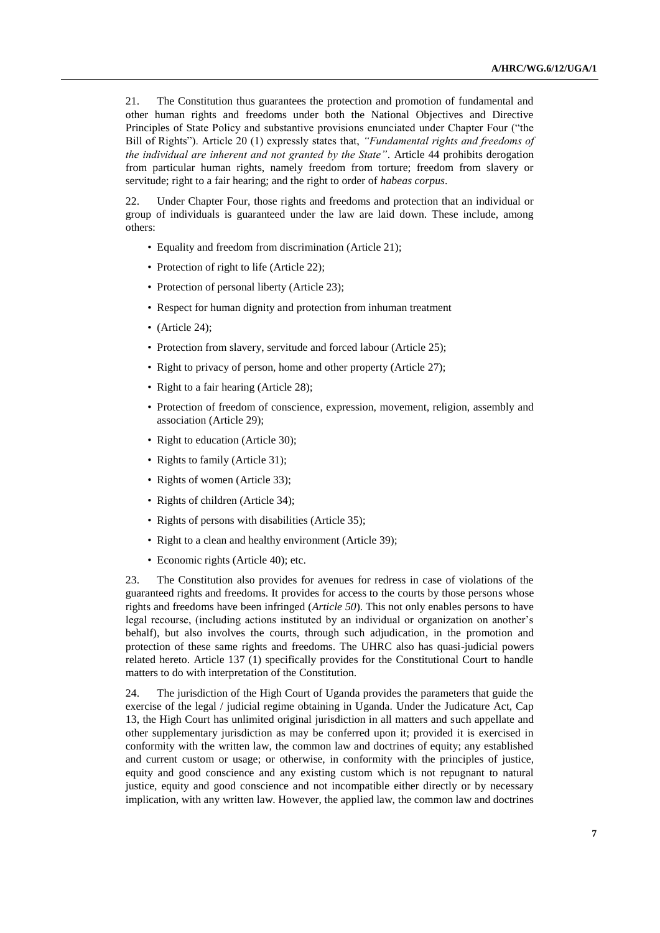21. The Constitution thus guarantees the protection and promotion of fundamental and other human rights and freedoms under both the National Objectives and Directive Principles of State Policy and substantive provisions enunciated under Chapter Four ("the Bill of Rights"). Article 20 (1) expressly states that, *"Fundamental rights and freedoms of the individual are inherent and not granted by the State"*. Article 44 prohibits derogation from particular human rights, namely freedom from torture; freedom from slavery or servitude; right to a fair hearing; and the right to order of *habeas corpus*.

22. Under Chapter Four, those rights and freedoms and protection that an individual or group of individuals is guaranteed under the law are laid down. These include, among others:

- Equality and freedom from discrimination (Article 21);
- Protection of right to life (Article 22);
- Protection of personal liberty (Article 23);
- Respect for human dignity and protection from inhuman treatment
- (Article 24):
- Protection from slavery, servitude and forced labour (Article 25);
- Right to privacy of person, home and other property (Article 27);
- Right to a fair hearing (Article 28);
- Protection of freedom of conscience, expression, movement, religion, assembly and association (Article 29);
- Right to education (Article 30);
- Rights to family (Article 31);
- Rights of women (Article 33);
- Rights of children (Article 34);
- Rights of persons with disabilities (Article 35);
- Right to a clean and healthy environment (Article 39);
- Economic rights (Article 40); etc.

23. The Constitution also provides for avenues for redress in case of violations of the guaranteed rights and freedoms. It provides for access to the courts by those persons whose rights and freedoms have been infringed (*Article 50*). This not only enables persons to have legal recourse, (including actions instituted by an individual or organization on another's behalf), but also involves the courts, through such adjudication, in the promotion and protection of these same rights and freedoms. The UHRC also has quasi-judicial powers related hereto. Article 137 (1) specifically provides for the Constitutional Court to handle matters to do with interpretation of the Constitution.

24. The jurisdiction of the High Court of Uganda provides the parameters that guide the exercise of the legal / judicial regime obtaining in Uganda. Under the Judicature Act, Cap 13, the High Court has unlimited original jurisdiction in all matters and such appellate and other supplementary jurisdiction as may be conferred upon it; provided it is exercised in conformity with the written law, the common law and doctrines of equity; any established and current custom or usage; or otherwise, in conformity with the principles of justice, equity and good conscience and any existing custom which is not repugnant to natural justice, equity and good conscience and not incompatible either directly or by necessary implication, with any written law. However, the applied law, the common law and doctrines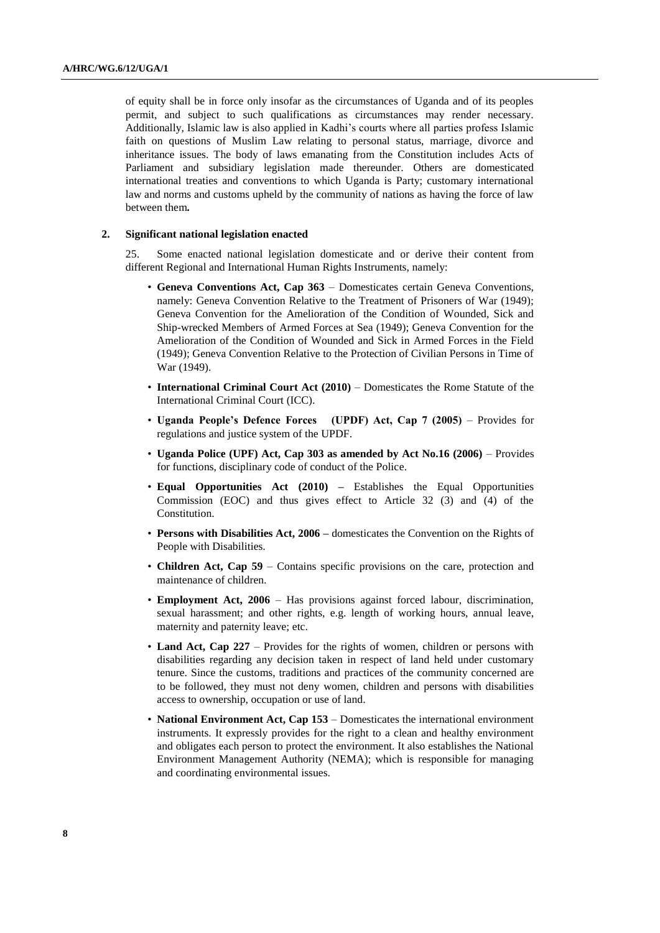of equity shall be in force only insofar as the circumstances of Uganda and of its peoples permit, and subject to such qualifications as circumstances may render necessary. Additionally, Islamic law is also applied in Kadhi"s courts where all parties profess Islamic faith on questions of Muslim Law relating to personal status, marriage, divorce and inheritance issues. The body of laws emanating from the Constitution includes Acts of Parliament and subsidiary legislation made thereunder. Others are domesticated international treaties and conventions to which Uganda is Party; customary international law and norms and customs upheld by the community of nations as having the force of law between them*.*

#### **2. Significant national legislation enacted**

25. Some enacted national legislation domesticate and or derive their content from different Regional and International Human Rights Instruments, namely:

- **Geneva Conventions Act, Cap 363** Domesticates certain Geneva Conventions, namely: Geneva Convention Relative to the Treatment of Prisoners of War (1949); Geneva Convention for the Amelioration of the Condition of Wounded, Sick and Ship-wrecked Members of Armed Forces at Sea (1949); Geneva Convention for the Amelioration of the Condition of Wounded and Sick in Armed Forces in the Field (1949); Geneva Convention Relative to the Protection of Civilian Persons in Time of War (1949).
- **International Criminal Court Act (2010)**  Domesticates the Rome Statute of the International Criminal Court (ICC).
- **Uganda People's Defence Forces (UPDF) Act, Cap 7 (2005)**  Provides for regulations and justice system of the UPDF.
- **Uganda Police (UPF) Act, Cap 303 as amended by Act No.16 (2006)**  Provides for functions, disciplinary code of conduct of the Police.
- **Equal Opportunities Act (2010) –** Establishes the Equal Opportunities Commission (EOC) and thus gives effect to Article 32 (3) and (4) of the Constitution.
- **Persons with Disabilities Act, 2006 –** domesticates the Convention on the Rights of People with Disabilities.
- **Children Act, Cap 59** Contains specific provisions on the care, protection and maintenance of children.
- **Employment Act, 2006** Has provisions against forced labour, discrimination, sexual harassment; and other rights, e.g. length of working hours, annual leave, maternity and paternity leave; etc.
- **Land Act, Cap 227** Provides for the rights of women, children or persons with disabilities regarding any decision taken in respect of land held under customary tenure. Since the customs, traditions and practices of the community concerned are to be followed, they must not deny women, children and persons with disabilities access to ownership, occupation or use of land.
- **National Environment Act, Cap 153** Domesticates the international environment instruments. It expressly provides for the right to a clean and healthy environment and obligates each person to protect the environment. It also establishes the National Environment Management Authority (NEMA); which is responsible for managing and coordinating environmental issues.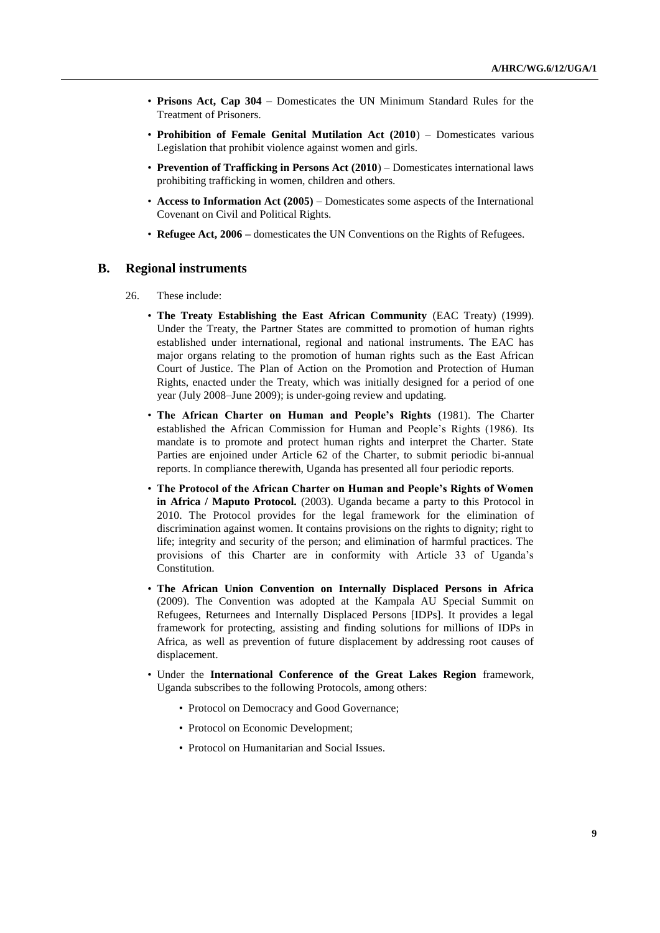- **Prisons Act, Cap 304**  Domesticates the UN Minimum Standard Rules for the Treatment of Prisoners.
- **Prohibition of Female Genital Mutilation Act (2010**) Domesticates various Legislation that prohibit violence against women and girls.
- **Prevention of Trafficking in Persons Act (2010**) Domesticates international laws prohibiting trafficking in women, children and others.
- **Access to Information Act (2005)**  Domesticates some aspects of the International Covenant on Civil and Political Rights.
- **Refugee Act, 2006 –** domesticates the UN Conventions on the Rights of Refugees.

#### **B. Regional instruments**

- 26. These include:
	- **The Treaty Establishing the East African Community** (EAC Treaty) (1999). Under the Treaty, the Partner States are committed to promotion of human rights established under international, regional and national instruments. The EAC has major organs relating to the promotion of human rights such as the East African Court of Justice. The Plan of Action on the Promotion and Protection of Human Rights, enacted under the Treaty, which was initially designed for a period of one year (July 2008–June 2009); is under-going review and updating.
	- **The African Charter on Human and People's Rights** (1981). The Charter established the African Commission for Human and People"s Rights (1986). Its mandate is to promote and protect human rights and interpret the Charter. State Parties are enjoined under Article 62 of the Charter, to submit periodic bi-annual reports. In compliance therewith, Uganda has presented all four periodic reports.
	- **The Protocol of the African Charter on Human and People's Rights of Women in Africa / Maputo Protocol.** (2003). Uganda became a party to this Protocol in 2010. The Protocol provides for the legal framework for the elimination of discrimination against women. It contains provisions on the rights to dignity; right to life; integrity and security of the person; and elimination of harmful practices. The provisions of this Charter are in conformity with Article 33 of Uganda"s Constitution.
	- **The African Union Convention on Internally Displaced Persons in Africa**  (2009). The Convention was adopted at the Kampala AU Special Summit on Refugees, Returnees and Internally Displaced Persons [IDPs]. It provides a legal framework for protecting, assisting and finding solutions for millions of IDPs in Africa, as well as prevention of future displacement by addressing root causes of displacement.
	- Under the **International Conference of the Great Lakes Region** framework, Uganda subscribes to the following Protocols, among others:
		- Protocol on Democracy and Good Governance;
		- Protocol on Economic Development;
		- Protocol on Humanitarian and Social Issues.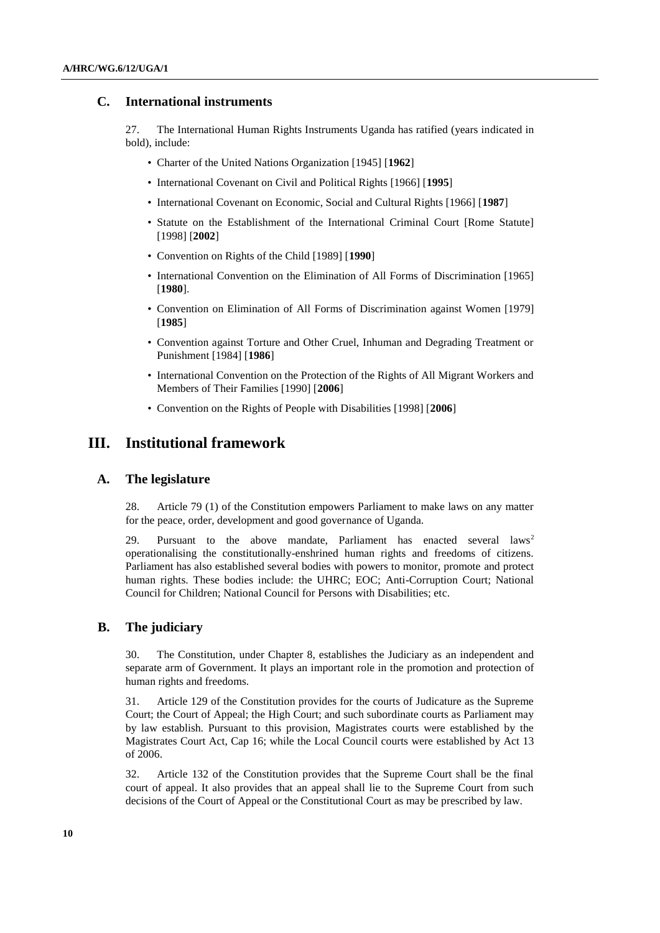## **C. International instruments**

27. The International Human Rights Instruments Uganda has ratified (years indicated in bold), include:

- Charter of the United Nations Organization [1945] [**1962**]
- International Covenant on Civil and Political Rights [1966] [**1995**]
- International Covenant on Economic, Social and Cultural Rights [1966] [**1987**]
- Statute on the Establishment of the International Criminal Court [Rome Statute] [1998] [**2002**]
- Convention on Rights of the Child [1989] [**1990**]
- International Convention on the Elimination of All Forms of Discrimination [1965] [**1980**].
- Convention on Elimination of All Forms of Discrimination against Women [1979] [**1985**]
- Convention against Torture and Other Cruel, Inhuman and Degrading Treatment or Punishment [1984] [**1986**]
- International Convention on the Protection of the Rights of All Migrant Workers and Members of Their Families [1990] [**2006**]
- Convention on the Rights of People with Disabilities [1998] [**2006**]

## **III. Institutional framework**

#### **A. The legislature**

28. Article 79 (1) of the Constitution empowers Parliament to make laws on any matter for the peace, order, development and good governance of Uganda.

29. Pursuant to the above mandate, Parliament has enacted several  $laws<sup>2</sup>$ operationalising the constitutionally-enshrined human rights and freedoms of citizens. Parliament has also established several bodies with powers to monitor, promote and protect human rights. These bodies include: the UHRC; EOC; Anti-Corruption Court; National Council for Children; National Council for Persons with Disabilities; etc.

## **B. The judiciary**

30. The Constitution, under Chapter 8, establishes the Judiciary as an independent and separate arm of Government. It plays an important role in the promotion and protection of human rights and freedoms.

31. Article 129 of the Constitution provides for the courts of Judicature as the Supreme Court; the Court of Appeal; the High Court; and such subordinate courts as Parliament may by law establish. Pursuant to this provision, Magistrates courts were established by the Magistrates Court Act, Cap 16; while the Local Council courts were established by Act 13 of 2006.

32. Article 132 of the Constitution provides that the Supreme Court shall be the final court of appeal. It also provides that an appeal shall lie to the Supreme Court from such decisions of the Court of Appeal or the Constitutional Court as may be prescribed by law.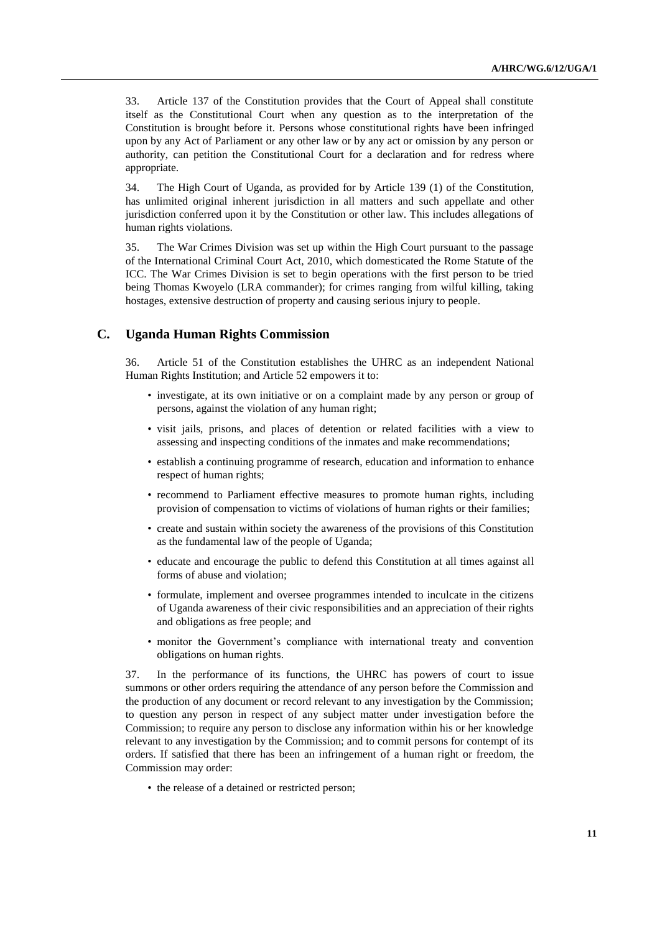33. Article 137 of the Constitution provides that the Court of Appeal shall constitute itself as the Constitutional Court when any question as to the interpretation of the Constitution is brought before it. Persons whose constitutional rights have been infringed upon by any Act of Parliament or any other law or by any act or omission by any person or authority, can petition the Constitutional Court for a declaration and for redress where appropriate.

34. The High Court of Uganda, as provided for by Article 139 (1) of the Constitution, has unlimited original inherent jurisdiction in all matters and such appellate and other jurisdiction conferred upon it by the Constitution or other law. This includes allegations of human rights violations.

35. The War Crimes Division was set up within the High Court pursuant to the passage of the International Criminal Court Act, 2010, which domesticated the Rome Statute of the ICC. The War Crimes Division is set to begin operations with the first person to be tried being Thomas Kwoyelo (LRA commander); for crimes ranging from wilful killing, taking hostages, extensive destruction of property and causing serious injury to people.

## **C. Uganda Human Rights Commission**

36. Article 51 of the Constitution establishes the UHRC as an independent National Human Rights Institution; and Article 52 empowers it to:

- investigate, at its own initiative or on a complaint made by any person or group of persons, against the violation of any human right;
- visit jails, prisons, and places of detention or related facilities with a view to assessing and inspecting conditions of the inmates and make recommendations;
- establish a continuing programme of research, education and information to enhance respect of human rights;
- recommend to Parliament effective measures to promote human rights, including provision of compensation to victims of violations of human rights or their families;
- create and sustain within society the awareness of the provisions of this Constitution as the fundamental law of the people of Uganda;
- educate and encourage the public to defend this Constitution at all times against all forms of abuse and violation;
- formulate, implement and oversee programmes intended to inculcate in the citizens of Uganda awareness of their civic responsibilities and an appreciation of their rights and obligations as free people; and
- monitor the Government's compliance with international treaty and convention obligations on human rights.

37. In the performance of its functions, the UHRC has powers of court to issue summons or other orders requiring the attendance of any person before the Commission and the production of any document or record relevant to any investigation by the Commission; to question any person in respect of any subject matter under investigation before the Commission; to require any person to disclose any information within his or her knowledge relevant to any investigation by the Commission; and to commit persons for contempt of its orders. If satisfied that there has been an infringement of a human right or freedom, the Commission may order:

• the release of a detained or restricted person;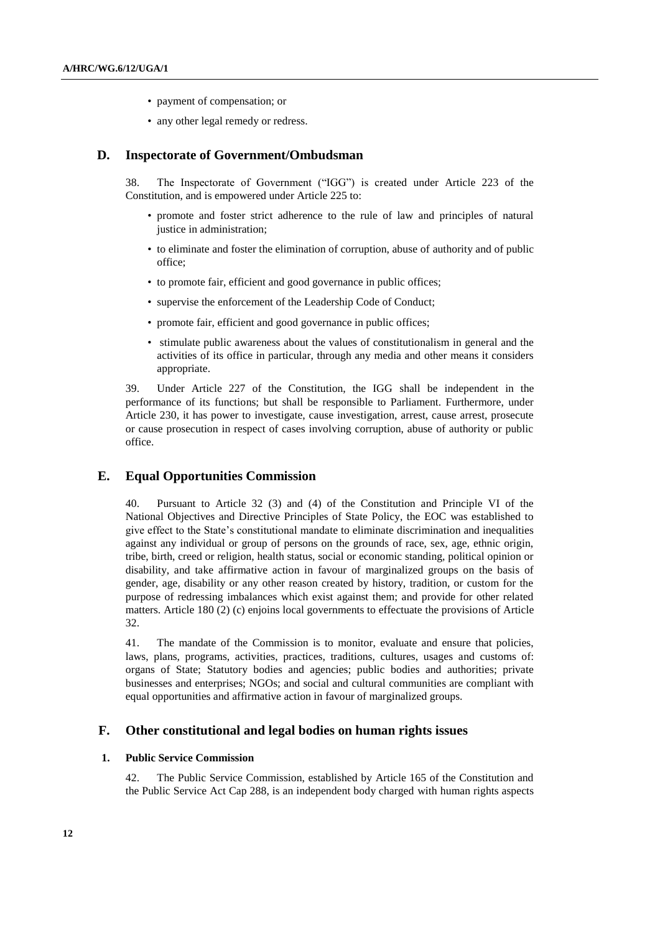- payment of compensation; or
- any other legal remedy or redress.

#### **D. Inspectorate of Government/Ombudsman**

38. The Inspectorate of Government ("IGG") is created under Article 223 of the Constitution, and is empowered under Article 225 to:

- promote and foster strict adherence to the rule of law and principles of natural justice in administration;
- to eliminate and foster the elimination of corruption, abuse of authority and of public office;
- to promote fair, efficient and good governance in public offices;
- supervise the enforcement of the Leadership Code of Conduct;
- promote fair, efficient and good governance in public offices;
- stimulate public awareness about the values of constitutionalism in general and the activities of its office in particular, through any media and other means it considers appropriate.

39. Under Article 227 of the Constitution, the IGG shall be independent in the performance of its functions; but shall be responsible to Parliament. Furthermore, under Article 230, it has power to investigate, cause investigation, arrest, cause arrest, prosecute or cause prosecution in respect of cases involving corruption, abuse of authority or public office.

#### **E. Equal Opportunities Commission**

40. Pursuant to Article 32 (3) and (4) of the Constitution and Principle VI of the National Objectives and Directive Principles of State Policy, the EOC was established to give effect to the State"s constitutional mandate to eliminate discrimination and inequalities against any individual or group of persons on the grounds of race, sex, age, ethnic origin, tribe, birth, creed or religion, health status, social or economic standing, political opinion or disability, and take affirmative action in favour of marginalized groups on the basis of gender, age, disability or any other reason created by history, tradition, or custom for the purpose of redressing imbalances which exist against them; and provide for other related matters. Article 180 (2) (c) enjoins local governments to effectuate the provisions of Article 32.

41. The mandate of the Commission is to monitor, evaluate and ensure that policies, laws, plans, programs, activities, practices, traditions, cultures, usages and customs of: organs of State; Statutory bodies and agencies; public bodies and authorities; private businesses and enterprises; NGOs; and social and cultural communities are compliant with equal opportunities and affirmative action in favour of marginalized groups.

#### **F. Other constitutional and legal bodies on human rights issues**

#### **1. Public Service Commission**

42. The Public Service Commission, established by Article 165 of the Constitution and the Public Service Act Cap 288, is an independent body charged with human rights aspects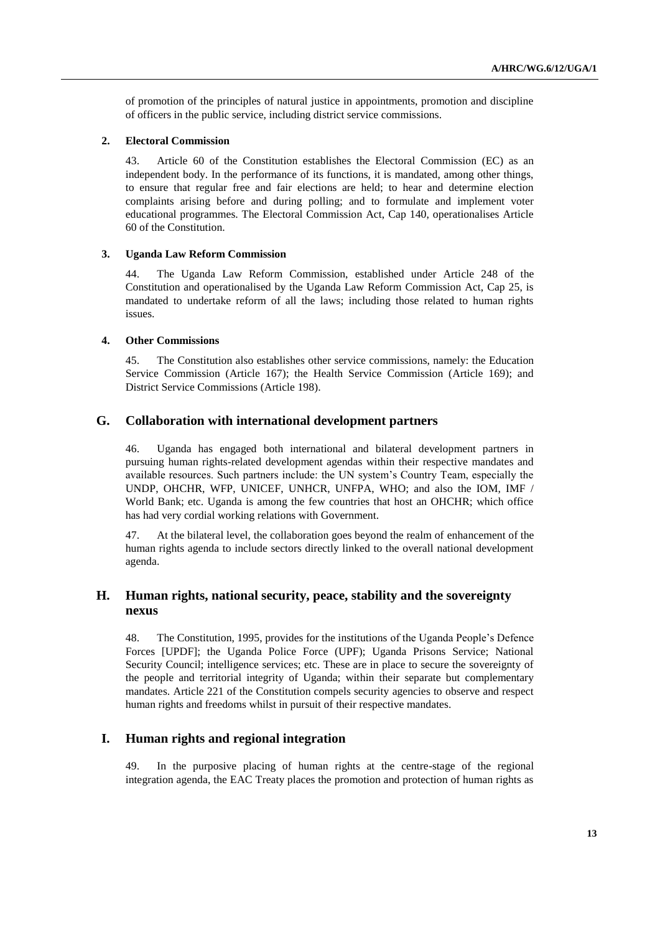of promotion of the principles of natural justice in appointments, promotion and discipline of officers in the public service, including district service commissions.

#### **2. Electoral Commission**

43. Article 60 of the Constitution establishes the Electoral Commission (EC) as an independent body. In the performance of its functions, it is mandated, among other things, to ensure that regular free and fair elections are held; to hear and determine election complaints arising before and during polling; and to formulate and implement voter educational programmes. The Electoral Commission Act, Cap 140, operationalises Article 60 of the Constitution.

#### **3. Uganda Law Reform Commission**

44. The Uganda Law Reform Commission, established under Article 248 of the Constitution and operationalised by the Uganda Law Reform Commission Act, Cap 25, is mandated to undertake reform of all the laws; including those related to human rights issues.

#### **4. Other Commissions**

45. The Constitution also establishes other service commissions, namely: the Education Service Commission (Article 167); the Health Service Commission (Article 169); and District Service Commissions (Article 198).

#### **G. Collaboration with international development partners**

46. Uganda has engaged both international and bilateral development partners in pursuing human rights-related development agendas within their respective mandates and available resources. Such partners include: the UN system"s Country Team, especially the UNDP, OHCHR, WFP, UNICEF, UNHCR, UNFPA, WHO; and also the IOM, IMF / World Bank; etc. Uganda is among the few countries that host an OHCHR; which office has had very cordial working relations with Government.

47. At the bilateral level, the collaboration goes beyond the realm of enhancement of the human rights agenda to include sectors directly linked to the overall national development agenda.

## **H. Human rights, national security, peace, stability and the sovereignty nexus**

48. The Constitution, 1995, provides for the institutions of the Uganda People"s Defence Forces [UPDF]; the Uganda Police Force (UPF); Uganda Prisons Service; National Security Council; intelligence services; etc. These are in place to secure the sovereignty of the people and territorial integrity of Uganda; within their separate but complementary mandates. Article 221 of the Constitution compels security agencies to observe and respect human rights and freedoms whilst in pursuit of their respective mandates.

## **I. Human rights and regional integration**

49. In the purposive placing of human rights at the centre-stage of the regional integration agenda, the EAC Treaty places the promotion and protection of human rights as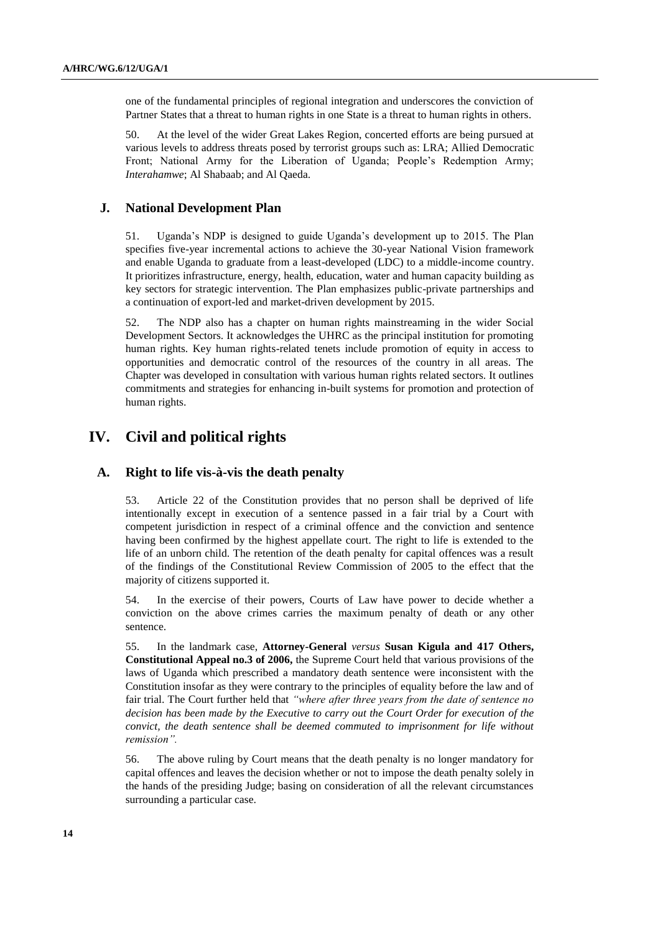one of the fundamental principles of regional integration and underscores the conviction of Partner States that a threat to human rights in one State is a threat to human rights in others.

50. At the level of the wider Great Lakes Region, concerted efforts are being pursued at various levels to address threats posed by terrorist groups such as: LRA; Allied Democratic Front; National Army for the Liberation of Uganda; People's Redemption Army; *Interahamwe*; Al Shabaab; and Al Qaeda.

## **J. National Development Plan**

51. Uganda"s NDP is designed to guide Uganda"s development up to 2015. The Plan specifies five-year incremental actions to achieve the 30-year National Vision framework and enable Uganda to graduate from a least-developed (LDC) to a middle-income country. It prioritizes infrastructure, energy, health, education, water and human capacity building as key sectors for strategic intervention. The Plan emphasizes public-private partnerships and a continuation of export-led and market-driven development by 2015.

52. The NDP also has a chapter on human rights mainstreaming in the wider Social Development Sectors. It acknowledges the UHRC as the principal institution for promoting human rights. Key human rights-related tenets include promotion of equity in access to opportunities and democratic control of the resources of the country in all areas. The Chapter was developed in consultation with various human rights related sectors. It outlines commitments and strategies for enhancing in-built systems for promotion and protection of human rights.

# **IV. Civil and political rights**

## **A. Right to life vis-à-vis the death penalty**

53. Article 22 of the Constitution provides that no person shall be deprived of life intentionally except in execution of a sentence passed in a fair trial by a Court with competent jurisdiction in respect of a criminal offence and the conviction and sentence having been confirmed by the highest appellate court. The right to life is extended to the life of an unborn child. The retention of the death penalty for capital offences was a result of the findings of the Constitutional Review Commission of 2005 to the effect that the majority of citizens supported it.

54. In the exercise of their powers, Courts of Law have power to decide whether a conviction on the above crimes carries the maximum penalty of death or any other sentence.

55. In the landmark case, **Attorney-General** *versus* **Susan Kigula and 417 Others, Constitutional Appeal no.3 of 2006,** the Supreme Court held that various provisions of the laws of Uganda which prescribed a mandatory death sentence were inconsistent with the Constitution insofar as they were contrary to the principles of equality before the law and of fair trial. The Court further held that *"where after three years from the date of sentence no decision has been made by the Executive to carry out the Court Order for execution of the convict, the death sentence shall be deemed commuted to imprisonment for life without remission".*

56. The above ruling by Court means that the death penalty is no longer mandatory for capital offences and leaves the decision whether or not to impose the death penalty solely in the hands of the presiding Judge; basing on consideration of all the relevant circumstances surrounding a particular case.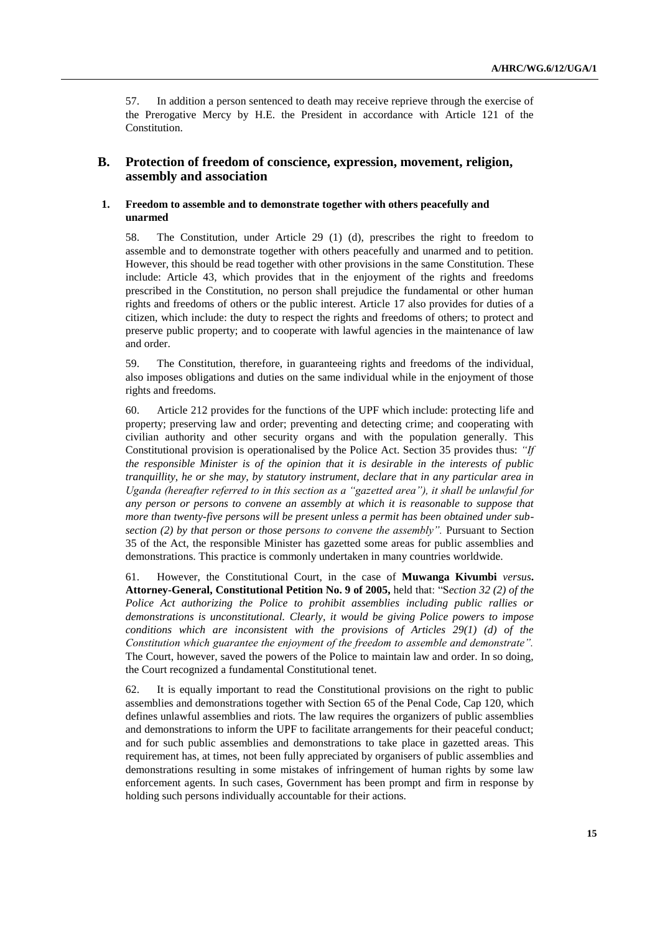57. In addition a person sentenced to death may receive reprieve through the exercise of the Prerogative Mercy by H.E. the President in accordance with Article 121 of the Constitution.

## **B. Protection of freedom of conscience, expression, movement, religion, assembly and association**

#### **1. Freedom to assemble and to demonstrate together with others peacefully and unarmed**

58. The Constitution, under Article 29 (1) (d), prescribes the right to freedom to assemble and to demonstrate together with others peacefully and unarmed and to petition. However, this should be read together with other provisions in the same Constitution. These include: Article 43, which provides that in the enjoyment of the rights and freedoms prescribed in the Constitution, no person shall prejudice the fundamental or other human rights and freedoms of others or the public interest. Article 17 also provides for duties of a citizen, which include: the duty to respect the rights and freedoms of others; to protect and preserve public property; and to cooperate with lawful agencies in the maintenance of law and order.

59. The Constitution, therefore, in guaranteeing rights and freedoms of the individual, also imposes obligations and duties on the same individual while in the enjoyment of those rights and freedoms.

60. Article 212 provides for the functions of the UPF which include: protecting life and property; preserving law and order; preventing and detecting crime; and cooperating with civilian authority and other security organs and with the population generally. This Constitutional provision is operationalised by the Police Act. Section 35 provides thus: *"If the responsible Minister is of the opinion that it is desirable in the interests of public tranquillity, he or she may, by statutory instrument, declare that in any particular area in Uganda (hereafter referred to in this section as a "gazetted area"), it shall be unlawful for any person or persons to convene an assembly at which it is reasonable to suppose that more than twenty-five persons will be present unless a permit has been obtained under subsection (2) by that person or those persons to convene the assembly".* Pursuant to Section 35 of the Act, the responsible Minister has gazetted some areas for public assemblies and demonstrations. This practice is commonly undertaken in many countries worldwide.

61. However, the Constitutional Court, in the case of **Muwanga Kivumbi** *versus***. Attorney-General, Constitutional Petition No. 9 of 2005,** held that: "S*ection 32 (2) of the Police Act authorizing the Police to prohibit assemblies including public rallies or demonstrations is unconstitutional. Clearly, it would be giving Police powers to impose conditions which are inconsistent with the provisions of Articles 29(1) (d) of the Constitution which guarantee the enjoyment of the freedom to assemble and demonstrate".*  The Court, however, saved the powers of the Police to maintain law and order. In so doing, the Court recognized a fundamental Constitutional tenet.

62. It is equally important to read the Constitutional provisions on the right to public assemblies and demonstrations together with Section 65 of the Penal Code, Cap 120, which defines unlawful assemblies and riots. The law requires the organizers of public assemblies and demonstrations to inform the UPF to facilitate arrangements for their peaceful conduct; and for such public assemblies and demonstrations to take place in gazetted areas. This requirement has, at times, not been fully appreciated by organisers of public assemblies and demonstrations resulting in some mistakes of infringement of human rights by some law enforcement agents. In such cases, Government has been prompt and firm in response by holding such persons individually accountable for their actions.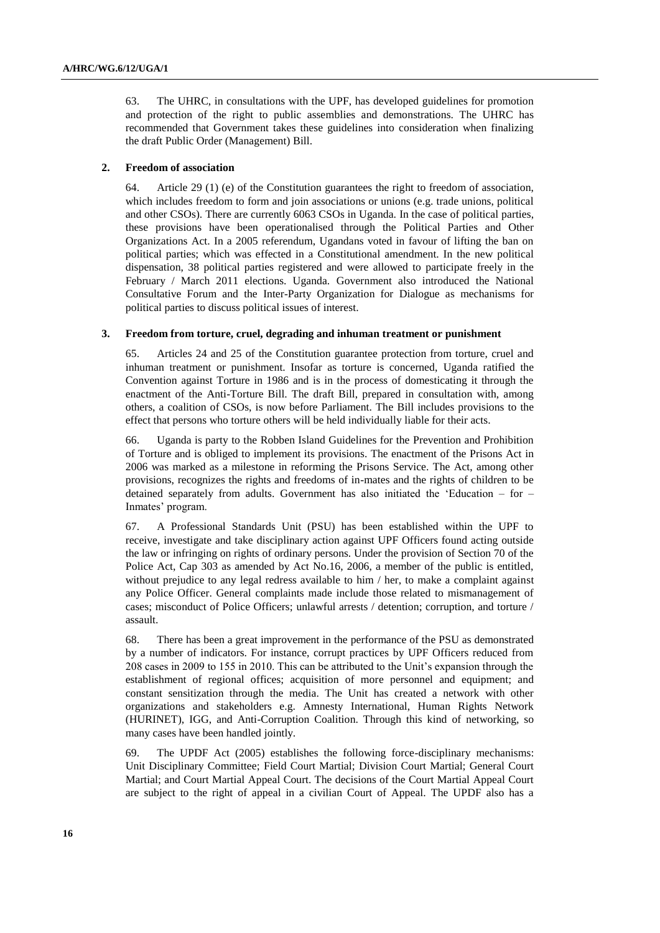63. The UHRC, in consultations with the UPF, has developed guidelines for promotion and protection of the right to public assemblies and demonstrations. The UHRC has recommended that Government takes these guidelines into consideration when finalizing the draft Public Order (Management) Bill.

#### **2. Freedom of association**

64. Article 29 (1) (e) of the Constitution guarantees the right to freedom of association, which includes freedom to form and join associations or unions (e.g. trade unions, political and other CSOs). There are currently 6063 CSOs in Uganda. In the case of political parties, these provisions have been operationalised through the Political Parties and Other Organizations Act. In a 2005 referendum, Ugandans voted in favour of lifting the ban on political parties; which was effected in a Constitutional amendment. In the new political dispensation, 38 political parties registered and were allowed to participate freely in the February / March 2011 elections. Uganda. Government also introduced the National Consultative Forum and the Inter-Party Organization for Dialogue as mechanisms for political parties to discuss political issues of interest.

#### **3. Freedom from torture, cruel, degrading and inhuman treatment or punishment**

65. Articles 24 and 25 of the Constitution guarantee protection from torture, cruel and inhuman treatment or punishment. Insofar as torture is concerned, Uganda ratified the Convention against Torture in 1986 and is in the process of domesticating it through the enactment of the Anti-Torture Bill. The draft Bill, prepared in consultation with, among others, a coalition of CSOs, is now before Parliament. The Bill includes provisions to the effect that persons who torture others will be held individually liable for their acts.

66. Uganda is party to the Robben Island Guidelines for the Prevention and Prohibition of Torture and is obliged to implement its provisions. The enactment of the Prisons Act in 2006 was marked as a milestone in reforming the Prisons Service. The Act, among other provisions, recognizes the rights and freedoms of in-mates and the rights of children to be detained separately from adults. Government has also initiated the "Education – for – Inmates' program.

67. A Professional Standards Unit (PSU) has been established within the UPF to receive, investigate and take disciplinary action against UPF Officers found acting outside the law or infringing on rights of ordinary persons. Under the provision of Section 70 of the Police Act, Cap 303 as amended by Act No.16, 2006, a member of the public is entitled, without prejudice to any legal redress available to him / her, to make a complaint against any Police Officer. General complaints made include those related to mismanagement of cases; misconduct of Police Officers; unlawful arrests / detention; corruption, and torture / assault.

68. There has been a great improvement in the performance of the PSU as demonstrated by a number of indicators. For instance, corrupt practices by UPF Officers reduced from 208 cases in 2009 to 155 in 2010. This can be attributed to the Unit"s expansion through the establishment of regional offices; acquisition of more personnel and equipment; and constant sensitization through the media. The Unit has created a network with other organizations and stakeholders e.g. Amnesty International, Human Rights Network (HURINET), IGG, and Anti-Corruption Coalition. Through this kind of networking, so many cases have been handled jointly.

69. The UPDF Act (2005) establishes the following force-disciplinary mechanisms: Unit Disciplinary Committee; Field Court Martial; Division Court Martial; General Court Martial; and Court Martial Appeal Court. The decisions of the Court Martial Appeal Court are subject to the right of appeal in a civilian Court of Appeal. The UPDF also has a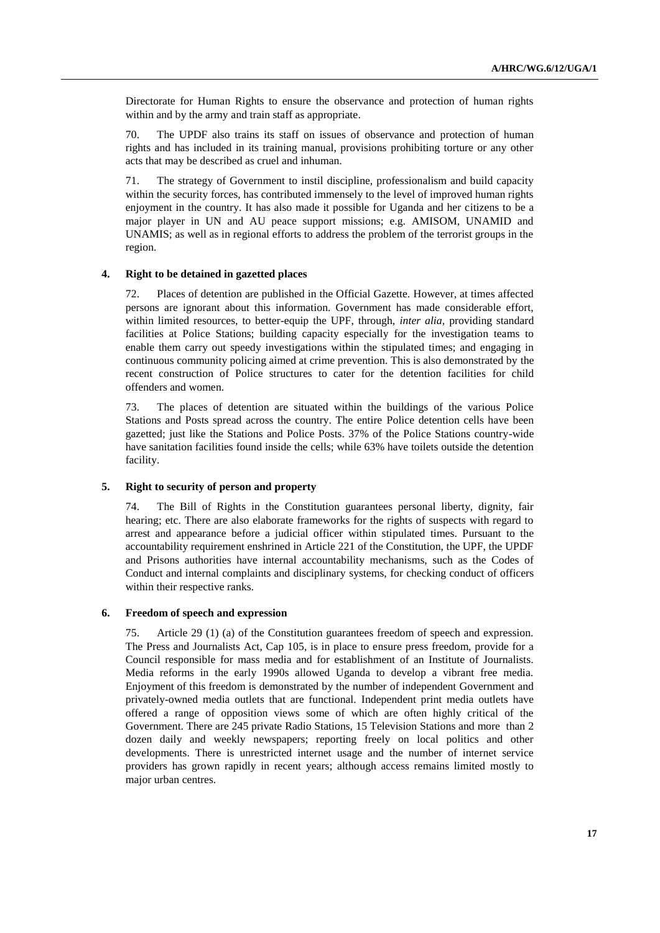Directorate for Human Rights to ensure the observance and protection of human rights within and by the army and train staff as appropriate.

70. The UPDF also trains its staff on issues of observance and protection of human rights and has included in its training manual, provisions prohibiting torture or any other acts that may be described as cruel and inhuman.

71. The strategy of Government to instil discipline, professionalism and build capacity within the security forces, has contributed immensely to the level of improved human rights enjoyment in the country. It has also made it possible for Uganda and her citizens to be a major player in UN and AU peace support missions; e.g. AMISOM, UNAMID and UNAMIS; as well as in regional efforts to address the problem of the terrorist groups in the region.

#### **4. Right to be detained in gazetted places**

72. Places of detention are published in the Official Gazette. However, at times affected persons are ignorant about this information. Government has made considerable effort, within limited resources, to better-equip the UPF, through, *inter alia,* providing standard facilities at Police Stations; building capacity especially for the investigation teams to enable them carry out speedy investigations within the stipulated times; and engaging in continuous community policing aimed at crime prevention. This is also demonstrated by the recent construction of Police structures to cater for the detention facilities for child offenders and women.

73. The places of detention are situated within the buildings of the various Police Stations and Posts spread across the country. The entire Police detention cells have been gazetted; just like the Stations and Police Posts. 37% of the Police Stations country-wide have sanitation facilities found inside the cells; while 63% have toilets outside the detention facility.

#### **5. Right to security of person and property**

74. The Bill of Rights in the Constitution guarantees personal liberty, dignity, fair hearing; etc. There are also elaborate frameworks for the rights of suspects with regard to arrest and appearance before a judicial officer within stipulated times. Pursuant to the accountability requirement enshrined in Article 221 of the Constitution, the UPF, the UPDF and Prisons authorities have internal accountability mechanisms, such as the Codes of Conduct and internal complaints and disciplinary systems, for checking conduct of officers within their respective ranks*.* 

#### **6. Freedom of speech and expression**

75. Article 29 (1) (a) of the Constitution guarantees freedom of speech and expression. The Press and Journalists Act, Cap 105, is in place to ensure press freedom, provide for a Council responsible for mass media and for establishment of an Institute of Journalists. Media reforms in the early 1990s allowed Uganda to develop a vibrant free media. Enjoyment of this freedom is demonstrated by the number of independent Government and privately-owned media outlets that are functional. Independent print media outlets have offered a range of opposition views some of which are often highly critical of the Government. There are 245 private Radio Stations, 15 Television Stations and more than 2 dozen daily and weekly newspapers; reporting freely on local politics and other developments. There is unrestricted internet usage and the number of internet service providers has grown rapidly in recent years; although access remains limited mostly to major urban centres.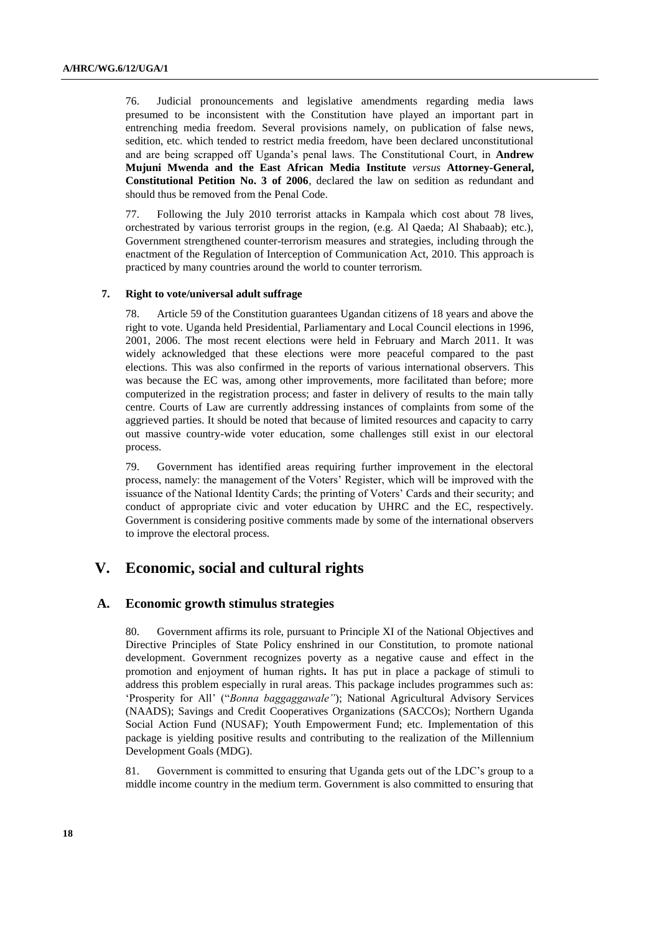76. Judicial pronouncements and legislative amendments regarding media laws presumed to be inconsistent with the Constitution have played an important part in entrenching media freedom. Several provisions namely, on publication of false news, sedition, etc. which tended to restrict media freedom, have been declared unconstitutional and are being scrapped off Uganda"s penal laws. The Constitutional Court, in **Andrew Mujuni Mwenda and the East African Media Institute** *versus* **Attorney-General, Constitutional Petition No. 3 of 2006**, declared the law on sedition as redundant and should thus be removed from the Penal Code.

77. Following the July 2010 terrorist attacks in Kampala which cost about 78 lives, orchestrated by various terrorist groups in the region, (e.g. Al Qaeda; Al Shabaab); etc.), Government strengthened counter-terrorism measures and strategies, including through the enactment of the Regulation of Interception of Communication Act, 2010. This approach is practiced by many countries around the world to counter terrorism.

#### **7. Right to vote/universal adult suffrage**

78. Article 59 of the Constitution guarantees Ugandan citizens of 18 years and above the right to vote. Uganda held Presidential, Parliamentary and Local Council elections in 1996, 2001, 2006. The most recent elections were held in February and March 2011. It was widely acknowledged that these elections were more peaceful compared to the past elections. This was also confirmed in the reports of various international observers. This was because the EC was, among other improvements, more facilitated than before; more computerized in the registration process; and faster in delivery of results to the main tally centre. Courts of Law are currently addressing instances of complaints from some of the aggrieved parties. It should be noted that because of limited resources and capacity to carry out massive country-wide voter education, some challenges still exist in our electoral process.

79. Government has identified areas requiring further improvement in the electoral process, namely: the management of the Voters" Register, which will be improved with the issuance of the National Identity Cards; the printing of Voters' Cards and their security; and conduct of appropriate civic and voter education by UHRC and the EC, respectively. Government is considering positive comments made by some of the international observers to improve the electoral process.

## **V. Economic, social and cultural rights**

### **A. Economic growth stimulus strategies**

80. Government affirms its role, pursuant to Principle XI of the National Objectives and Directive Principles of State Policy enshrined in our Constitution, to promote national development. Government recognizes poverty as a negative cause and effect in the promotion and enjoyment of human rights**.** It has put in place a package of stimuli to address this problem especially in rural areas. This package includes programmes such as: "Prosperity for All" ("*Bonna baggaggawale"*); National Agricultural Advisory Services (NAADS); Savings and Credit Cooperatives Organizations (SACCOs); Northern Uganda Social Action Fund (NUSAF); Youth Empowerment Fund; etc. Implementation of this package is yielding positive results and contributing to the realization of the Millennium Development Goals (MDG).

81. Government is committed to ensuring that Uganda gets out of the LDC"s group to a middle income country in the medium term. Government is also committed to ensuring that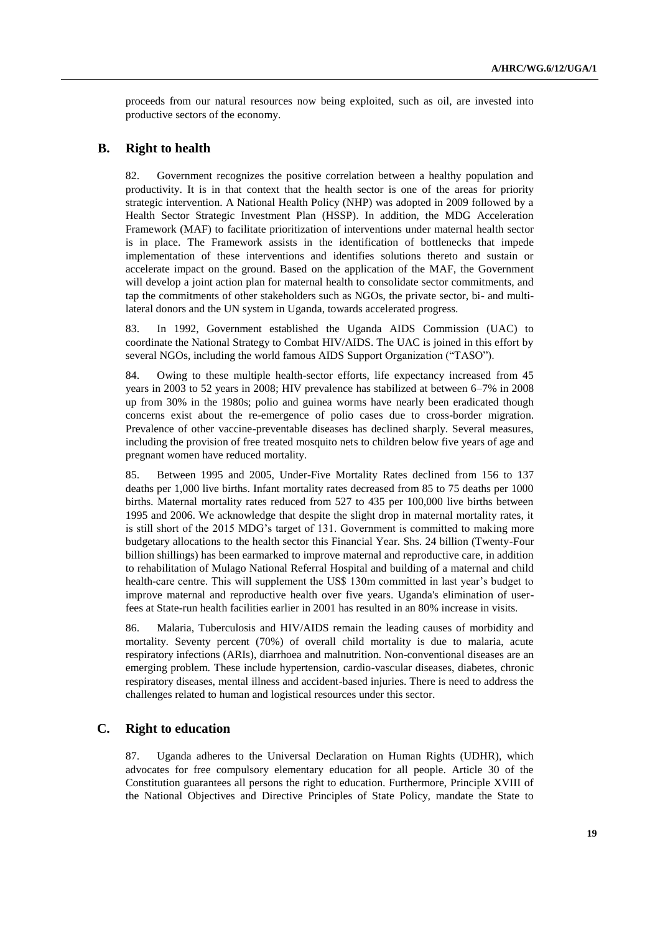proceeds from our natural resources now being exploited, such as oil, are invested into productive sectors of the economy.

## **B. Right to health**

82. Government recognizes the positive correlation between a healthy population and productivity. It is in that context that the health sector is one of the areas for priority strategic intervention. A National Health Policy (NHP) was adopted in 2009 followed by a Health Sector Strategic Investment Plan (HSSP). In addition, the MDG Acceleration Framework (MAF) to facilitate prioritization of interventions under maternal health sector is in place. The Framework assists in the identification of bottlenecks that impede implementation of these interventions and identifies solutions thereto and sustain or accelerate impact on the ground. Based on the application of the MAF, the Government will develop a joint action plan for maternal health to consolidate sector commitments, and tap the commitments of other stakeholders such as NGOs, the private sector, bi- and multilateral donors and the UN system in Uganda, towards accelerated progress.

83. In 1992, Government established the Uganda AIDS Commission (UAC) to coordinate the National Strategy to Combat HIV/AIDS. The UAC is joined in this effort by several NGOs, including the world famous AIDS Support Organization ("TASO").

84. Owing to these multiple health-sector efforts, life expectancy increased from 45 years in 2003 to 52 years in 2008; HIV prevalence has stabilized at between 6–7% in 2008 up from 30% in the 1980s; polio and guinea worms have nearly been eradicated though concerns exist about the re-emergence of polio cases due to cross-border migration. Prevalence of other vaccine-preventable diseases has declined sharply. Several measures, including the provision of free treated mosquito nets to children below five years of age and pregnant women have reduced mortality.

85. Between 1995 and 2005, Under-Five Mortality Rates declined from 156 to 137 deaths per 1,000 live births. Infant mortality rates decreased from 85 to 75 deaths per 1000 births. Maternal mortality rates reduced from 527 to 435 per 100,000 live births between 1995 and 2006. We acknowledge that despite the slight drop in maternal mortality rates, it is still short of the 2015 MDG"s target of 131. Government is committed to making more budgetary allocations to the health sector this Financial Year. Shs. 24 billion (Twenty-Four billion shillings) has been earmarked to improve maternal and reproductive care, in addition to rehabilitation of Mulago National Referral Hospital and building of a maternal and child health-care centre. This will supplement the US\$ 130m committed in last year"s budget to improve maternal and reproductive health over five years. Uganda's elimination of userfees at State-run health facilities earlier in 2001 has resulted in an 80% increase in visits.

86. Malaria, Tuberculosis and HIV/AIDS remain the leading causes of morbidity and mortality. Seventy percent (70%) of overall child mortality is due to malaria, acute respiratory infections (ARIs), diarrhoea and malnutrition. Non-conventional diseases are an emerging problem. These include hypertension, cardio-vascular diseases, diabetes, chronic respiratory diseases, mental illness and accident-based injuries. There is need to address the challenges related to human and logistical resources under this sector.

## **C. Right to education**

87. Uganda adheres to the Universal Declaration on Human Rights (UDHR), which advocates for free compulsory elementary education for all people. Article 30 of the Constitution guarantees all persons the right to education. Furthermore, Principle XVIII of the National Objectives and Directive Principles of State Policy, mandate the State to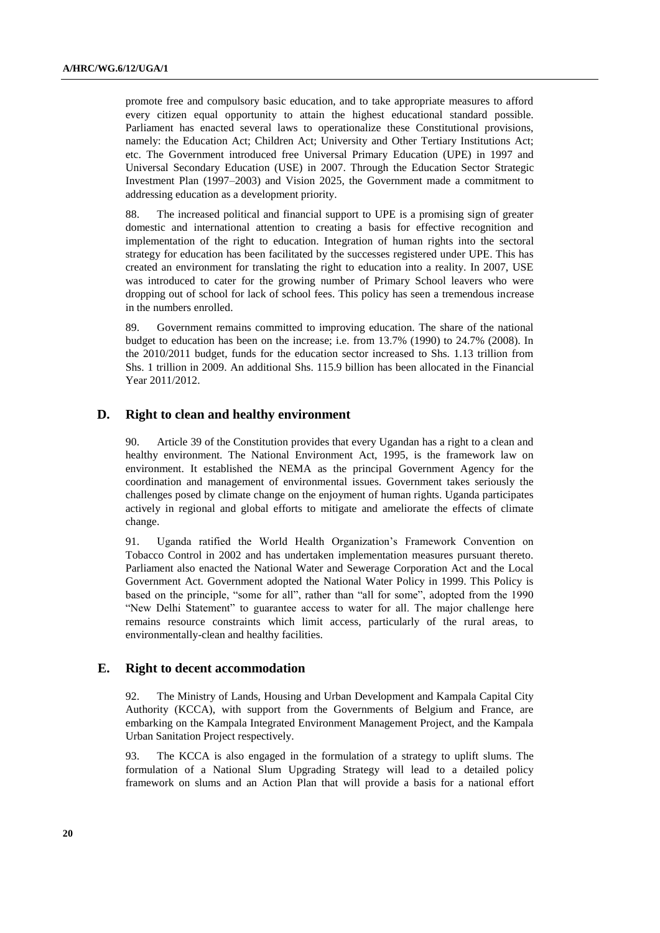promote free and compulsory basic education, and to take appropriate measures to afford every citizen equal opportunity to attain the highest educational standard possible. Parliament has enacted several laws to operationalize these Constitutional provisions, namely: the Education Act; Children Act; University and Other Tertiary Institutions Act; etc. The Government introduced free Universal Primary Education (UPE) in 1997 and Universal Secondary Education (USE) in 2007. Through the Education Sector Strategic Investment Plan (1997–2003) and Vision 2025, the Government made a commitment to addressing education as a development priority.

88. The increased political and financial support to UPE is a promising sign of greater domestic and international attention to creating a basis for effective recognition and implementation of the right to education. Integration of human rights into the sectoral strategy for education has been facilitated by the successes registered under UPE. This has created an environment for translating the right to education into a reality. In 2007, USE was introduced to cater for the growing number of Primary School leavers who were dropping out of school for lack of school fees. This policy has seen a tremendous increase in the numbers enrolled.

89. Government remains committed to improving education. The share of the national budget to education has been on the increase; i.e. from 13.7% (1990) to 24.7% (2008). In the 2010/2011 budget, funds for the education sector increased to Shs. 1.13 trillion from Shs. 1 trillion in 2009. An additional Shs. 115.9 billion has been allocated in the Financial Year 2011/2012.

#### **D. Right to clean and healthy environment**

Article 39 of the Constitution provides that every Ugandan has a right to a clean and healthy environment. The National Environment Act, 1995, is the framework law on environment. It established the NEMA as the principal Government Agency for the coordination and management of environmental issues. Government takes seriously the challenges posed by climate change on the enjoyment of human rights. Uganda participates actively in regional and global efforts to mitigate and ameliorate the effects of climate change.

91. Uganda ratified the World Health Organization"s Framework Convention on Tobacco Control in 2002 and has undertaken implementation measures pursuant thereto. Parliament also enacted the National Water and Sewerage Corporation Act and the Local Government Act. Government adopted the National Water Policy in 1999. This Policy is based on the principle, "some for all", rather than "all for some", adopted from the 1990 "New Delhi Statement" to guarantee access to water for all. The major challenge here remains resource constraints which limit access, particularly of the rural areas, to environmentally-clean and healthy facilities.

#### **E. Right to decent accommodation**

92. The Ministry of Lands, Housing and Urban Development and Kampala Capital City Authority (KCCA), with support from the Governments of Belgium and France, are embarking on the Kampala Integrated Environment Management Project, and the Kampala Urban Sanitation Project respectively.

93. The KCCA is also engaged in the formulation of a strategy to uplift slums. The formulation of a National Slum Upgrading Strategy will lead to a detailed policy framework on slums and an Action Plan that will provide a basis for a national effort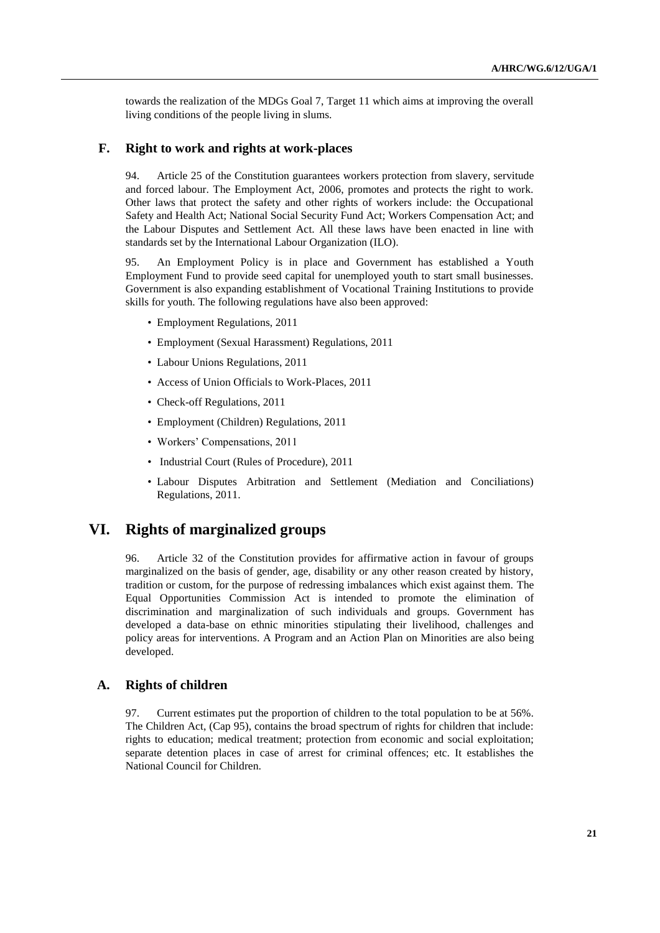towards the realization of the MDGs Goal 7, Target 11 which aims at improving the overall living conditions of the people living in slums.

#### **F. Right to work and rights at work-places**

94. Article 25 of the Constitution guarantees workers protection from slavery, servitude and forced labour. The Employment Act, 2006, promotes and protects the right to work. Other laws that protect the safety and other rights of workers include: the Occupational Safety and Health Act; National Social Security Fund Act; Workers Compensation Act; and the Labour Disputes and Settlement Act. All these laws have been enacted in line with standards set by the International Labour Organization (ILO).

95. An Employment Policy is in place and Government has established a Youth Employment Fund to provide seed capital for unemployed youth to start small businesses. Government is also expanding establishment of Vocational Training Institutions to provide skills for youth. The following regulations have also been approved:

- Employment Regulations, 2011
- Employment (Sexual Harassment) Regulations, 2011
- Labour Unions Regulations, 2011
- Access of Union Officials to Work-Places, 2011
- Check-off Regulations, 2011
- Employment (Children) Regulations, 2011
- Workers' Compensations, 2011
- Industrial Court (Rules of Procedure), 2011
- Labour Disputes Arbitration and Settlement (Mediation and Conciliations) Regulations, 2011.

# **VI. Rights of marginalized groups**

96. Article 32 of the Constitution provides for affirmative action in favour of groups marginalized on the basis of gender, age, disability or any other reason created by history, tradition or custom, for the purpose of redressing imbalances which exist against them. The Equal Opportunities Commission Act is intended to promote the elimination of discrimination and marginalization of such individuals and groups. Government has developed a data-base on ethnic minorities stipulating their livelihood, challenges and policy areas for interventions. A Program and an Action Plan on Minorities are also being developed.

## **A. Rights of children**

97. Current estimates put the proportion of children to the total population to be at 56%. The Children Act, (Cap 95), contains the broad spectrum of rights for children that include: rights to education; medical treatment; protection from economic and social exploitation; separate detention places in case of arrest for criminal offences; etc. It establishes the National Council for Children.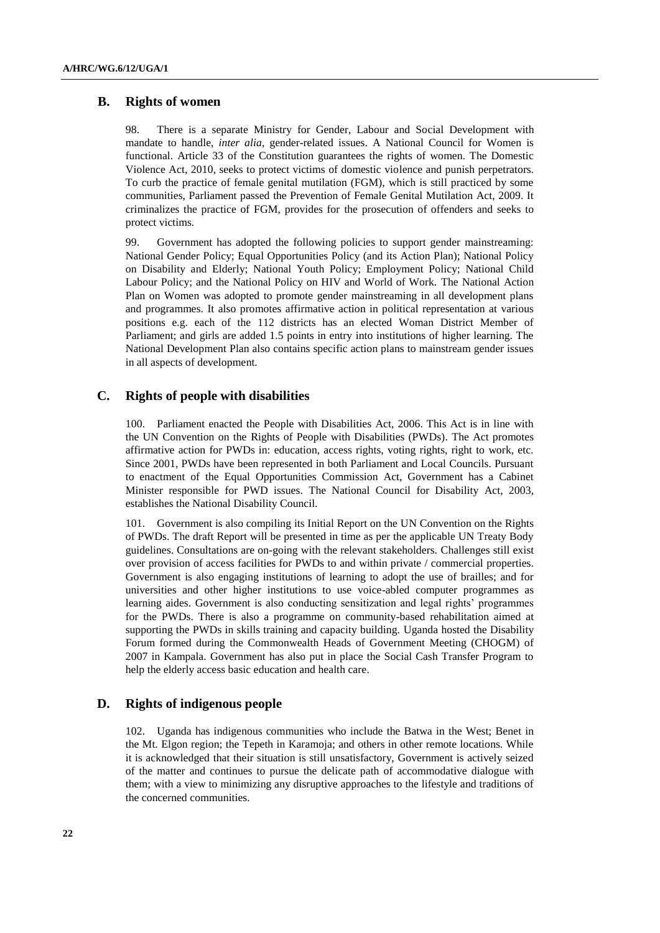## **B. Rights of women**

98. There is a separate Ministry for Gender, Labour and Social Development with mandate to handle, *inter alia*, gender-related issues. A National Council for Women is functional. Article 33 of the Constitution guarantees the rights of women. The Domestic Violence Act, 2010, seeks to protect victims of domestic violence and punish perpetrators. To curb the practice of female genital mutilation (FGM), which is still practiced by some communities, Parliament passed the Prevention of Female Genital Mutilation Act, 2009. It criminalizes the practice of FGM, provides for the prosecution of offenders and seeks to protect victims.

99. Government has adopted the following policies to support gender mainstreaming: National Gender Policy; Equal Opportunities Policy (and its Action Plan); National Policy on Disability and Elderly; National Youth Policy; Employment Policy; National Child Labour Policy; and the National Policy on HIV and World of Work. The National Action Plan on Women was adopted to promote gender mainstreaming in all development plans and programmes. It also promotes affirmative action in political representation at various positions e.g. each of the 112 districts has an elected Woman District Member of Parliament; and girls are added 1.5 points in entry into institutions of higher learning. The National Development Plan also contains specific action plans to mainstream gender issues in all aspects of development.

## **C. Rights of people with disabilities**

100. Parliament enacted the People with Disabilities Act, 2006. This Act is in line with the UN Convention on the Rights of People with Disabilities (PWDs). The Act promotes affirmative action for PWDs in: education, access rights, voting rights, right to work, etc. Since 2001, PWDs have been represented in both Parliament and Local Councils. Pursuant to enactment of the Equal Opportunities Commission Act, Government has a Cabinet Minister responsible for PWD issues. The National Council for Disability Act, 2003, establishes the National Disability Council.

101. Government is also compiling its Initial Report on the UN Convention on the Rights of PWDs. The draft Report will be presented in time as per the applicable UN Treaty Body guidelines. Consultations are on-going with the relevant stakeholders. Challenges still exist over provision of access facilities for PWDs to and within private / commercial properties. Government is also engaging institutions of learning to adopt the use of brailles; and for universities and other higher institutions to use voice-abled computer programmes as learning aides. Government is also conducting sensitization and legal rights' programmes for the PWDs. There is also a programme on community-based rehabilitation aimed at supporting the PWDs in skills training and capacity building. Uganda hosted the Disability Forum formed during the Commonwealth Heads of Government Meeting (CHOGM) of 2007 in Kampala. Government has also put in place the Social Cash Transfer Program to help the elderly access basic education and health care.

## **D. Rights of indigenous people**

102. Uganda has indigenous communities who include the Batwa in the West; Benet in the Mt. Elgon region; the Tepeth in Karamoja; and others in other remote locations. While it is acknowledged that their situation is still unsatisfactory, Government is actively seized of the matter and continues to pursue the delicate path of accommodative dialogue with them; with a view to minimizing any disruptive approaches to the lifestyle and traditions of the concerned communities.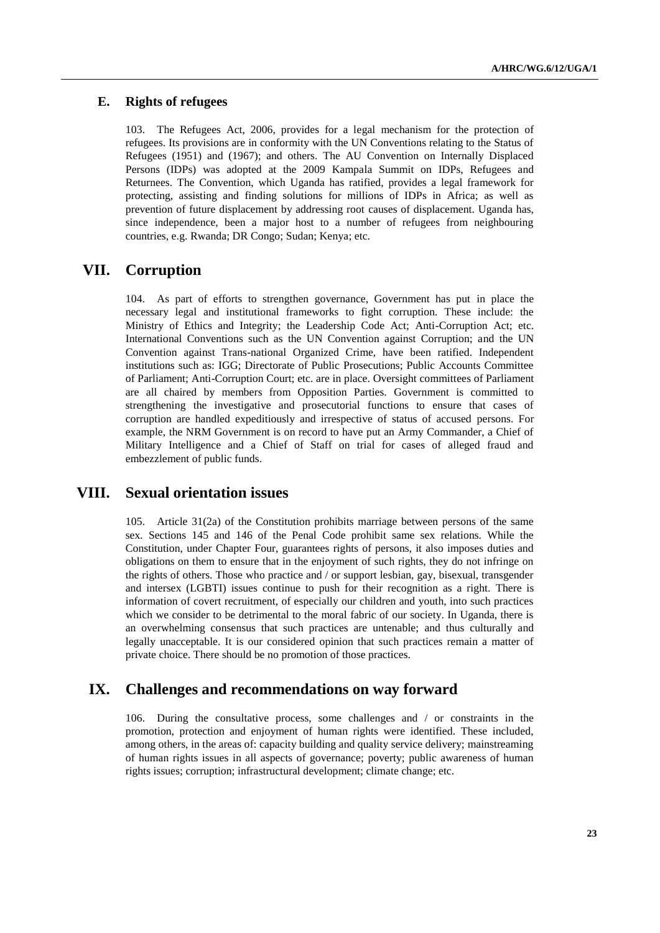## **E. Rights of refugees**

103. The Refugees Act, 2006, provides for a legal mechanism for the protection of refugees. Its provisions are in conformity with the UN Conventions relating to the Status of Refugees (1951) and (1967); and others. The AU Convention on Internally Displaced Persons (IDPs) was adopted at the 2009 Kampala Summit on IDPs, Refugees and Returnees. The Convention, which Uganda has ratified, provides a legal framework for protecting, assisting and finding solutions for millions of IDPs in Africa; as well as prevention of future displacement by addressing root causes of displacement. Uganda has, since independence, been a major host to a number of refugees from neighbouring countries, e.g. Rwanda; DR Congo; Sudan; Kenya; etc.

# **VII. Corruption**

104. As part of efforts to strengthen governance, Government has put in place the necessary legal and institutional frameworks to fight corruption. These include: the Ministry of Ethics and Integrity; the Leadership Code Act; Anti-Corruption Act; etc. International Conventions such as the UN Convention against Corruption; and the UN Convention against Trans-national Organized Crime, have been ratified. Independent institutions such as: IGG; Directorate of Public Prosecutions; Public Accounts Committee of Parliament; Anti-Corruption Court; etc. are in place. Oversight committees of Parliament are all chaired by members from Opposition Parties. Government is committed to strengthening the investigative and prosecutorial functions to ensure that cases of corruption are handled expeditiously and irrespective of status of accused persons. For example, the NRM Government is on record to have put an Army Commander, a Chief of Military Intelligence and a Chief of Staff on trial for cases of alleged fraud and embezzlement of public funds.

# **VIII. Sexual orientation issues**

105. Article 31(2a) of the Constitution prohibits marriage between persons of the same sex. Sections 145 and 146 of the Penal Code prohibit same sex relations. While the Constitution, under Chapter Four, guarantees rights of persons, it also imposes duties and obligations on them to ensure that in the enjoyment of such rights, they do not infringe on the rights of others. Those who practice and / or support lesbian, gay, bisexual, transgender and intersex (LGBTI) issues continue to push for their recognition as a right. There is information of covert recruitment, of especially our children and youth, into such practices which we consider to be detrimental to the moral fabric of our society. In Uganda, there is an overwhelming consensus that such practices are untenable; and thus culturally and legally unacceptable. It is our considered opinion that such practices remain a matter of private choice. There should be no promotion of those practices.

## **IX. Challenges and recommendations on way forward**

106. During the consultative process, some challenges and / or constraints in the promotion, protection and enjoyment of human rights were identified. These included, among others, in the areas of: capacity building and quality service delivery; mainstreaming of human rights issues in all aspects of governance; poverty; public awareness of human rights issues; corruption; infrastructural development; climate change; etc.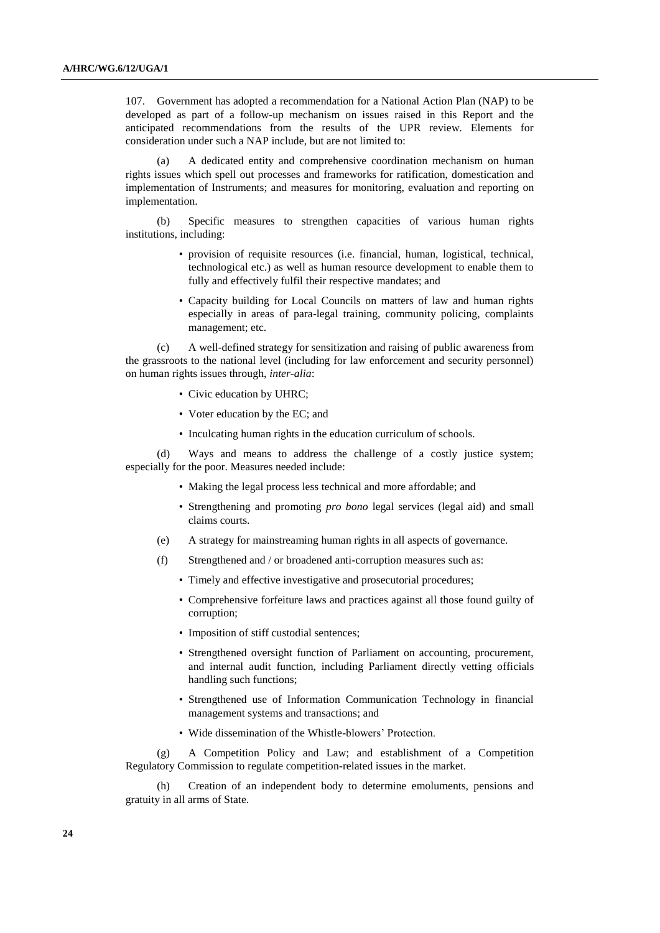107. Government has adopted a recommendation for a National Action Plan (NAP) to be developed as part of a follow-up mechanism on issues raised in this Report and the anticipated recommendations from the results of the UPR review. Elements for consideration under such a NAP include, but are not limited to:

(a) A dedicated entity and comprehensive coordination mechanism on human rights issues which spell out processes and frameworks for ratification, domestication and implementation of Instruments; and measures for monitoring, evaluation and reporting on implementation.

(b) Specific measures to strengthen capacities of various human rights institutions, including:

- provision of requisite resources (i.e. financial, human, logistical, technical, technological etc.) as well as human resource development to enable them to fully and effectively fulfil their respective mandates; and
- Capacity building for Local Councils on matters of law and human rights especially in areas of para-legal training, community policing, complaints management; etc.

(c) A well-defined strategy for sensitization and raising of public awareness from the grassroots to the national level (including for law enforcement and security personnel) on human rights issues through, *inter-alia*:

- Civic education by UHRC;
- Voter education by the EC; and
- Inculcating human rights in the education curriculum of schools.

(d) Ways and means to address the challenge of a costly justice system; especially for the poor. Measures needed include:

- Making the legal process less technical and more affordable; and
- Strengthening and promoting *pro bono* legal services (legal aid) and small claims courts.
- (e) A strategy for mainstreaming human rights in all aspects of governance.
- (f) Strengthened and / or broadened anti-corruption measures such as:
	- Timely and effective investigative and prosecutorial procedures;
	- Comprehensive forfeiture laws and practices against all those found guilty of corruption;
	- Imposition of stiff custodial sentences;
	- Strengthened oversight function of Parliament on accounting, procurement, and internal audit function, including Parliament directly vetting officials handling such functions;
	- Strengthened use of Information Communication Technology in financial management systems and transactions; and
	- Wide dissemination of the Whistle-blowers' Protection.

(g) A Competition Policy and Law; and establishment of a Competition Regulatory Commission to regulate competition-related issues in the market.

Creation of an independent body to determine emoluments, pensions and gratuity in all arms of State.